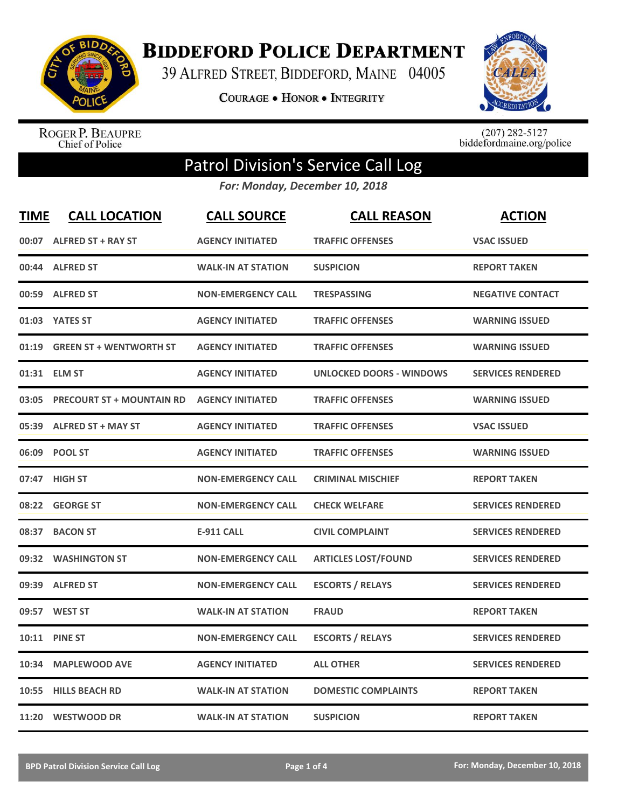

**BIDDEFORD POLICE DEPARTMENT** 

39 ALFRED STREET, BIDDEFORD, MAINE 04005

**COURAGE . HONOR . INTEGRITY** 



ROGER P. BEAUPRE<br>Chief of Police

 $(207)$  282-5127<br>biddefordmaine.org/police

## Patrol Division's Service Call Log

*For: Monday, December 10, 2018*

| <b>TIME</b> | <b>CALL LOCATION</b>             | <b>CALL SOURCE</b>        | <b>CALL REASON</b>              | <b>ACTION</b>            |
|-------------|----------------------------------|---------------------------|---------------------------------|--------------------------|
|             | 00:07 ALFRED ST + RAY ST         | <b>AGENCY INITIATED</b>   | <b>TRAFFIC OFFENSES</b>         | <b>VSAC ISSUED</b>       |
|             | 00:44 ALFRED ST                  | <b>WALK-IN AT STATION</b> | <b>SUSPICION</b>                | <b>REPORT TAKEN</b>      |
|             | 00:59 ALFRED ST                  | <b>NON-EMERGENCY CALL</b> | <b>TRESPASSING</b>              | <b>NEGATIVE CONTACT</b>  |
|             | 01:03 YATES ST                   | <b>AGENCY INITIATED</b>   | <b>TRAFFIC OFFENSES</b>         | <b>WARNING ISSUED</b>    |
| 01:19       | <b>GREEN ST + WENTWORTH ST</b>   | <b>AGENCY INITIATED</b>   | <b>TRAFFIC OFFENSES</b>         | <b>WARNING ISSUED</b>    |
|             | 01:31 ELM ST                     | <b>AGENCY INITIATED</b>   | <b>UNLOCKED DOORS - WINDOWS</b> | <b>SERVICES RENDERED</b> |
| 03:05       | <b>PRECOURT ST + MOUNTAIN RD</b> | <b>AGENCY INITIATED</b>   | <b>TRAFFIC OFFENSES</b>         | <b>WARNING ISSUED</b>    |
| 05:39       | <b>ALFRED ST + MAY ST</b>        | <b>AGENCY INITIATED</b>   | <b>TRAFFIC OFFENSES</b>         | <b>VSAC ISSUED</b>       |
|             | 06:09 POOL ST                    | <b>AGENCY INITIATED</b>   | <b>TRAFFIC OFFENSES</b>         | <b>WARNING ISSUED</b>    |
|             | 07:47 HIGH ST                    | <b>NON-EMERGENCY CALL</b> | <b>CRIMINAL MISCHIEF</b>        | <b>REPORT TAKEN</b>      |
|             | 08:22 GEORGE ST                  | <b>NON-EMERGENCY CALL</b> | <b>CHECK WELFARE</b>            | <b>SERVICES RENDERED</b> |
| 08:37       | <b>BACON ST</b>                  | <b>E-911 CALL</b>         | <b>CIVIL COMPLAINT</b>          | <b>SERVICES RENDERED</b> |
|             | 09:32 WASHINGTON ST              | <b>NON-EMERGENCY CALL</b> | <b>ARTICLES LOST/FOUND</b>      | <b>SERVICES RENDERED</b> |
|             | 09:39 ALFRED ST                  | <b>NON-EMERGENCY CALL</b> | <b>ESCORTS / RELAYS</b>         | <b>SERVICES RENDERED</b> |
| 09:57       | <b>WEST ST</b>                   | <b>WALK-IN AT STATION</b> | <b>FRAUD</b>                    | <b>REPORT TAKEN</b>      |
|             | 10:11 PINE ST                    | <b>NON-EMERGENCY CALL</b> | <b>ESCORTS / RELAYS</b>         | <b>SERVICES RENDERED</b> |
| 10:34       | <b>MAPLEWOOD AVE</b>             | <b>AGENCY INITIATED</b>   | <b>ALL OTHER</b>                | <b>SERVICES RENDERED</b> |
|             | 10:55 HILLS BEACH RD             | <b>WALK-IN AT STATION</b> | <b>DOMESTIC COMPLAINTS</b>      | <b>REPORT TAKEN</b>      |
|             | 11:20 WESTWOOD DR                | <b>WALK-IN AT STATION</b> | <b>SUSPICION</b>                | <b>REPORT TAKEN</b>      |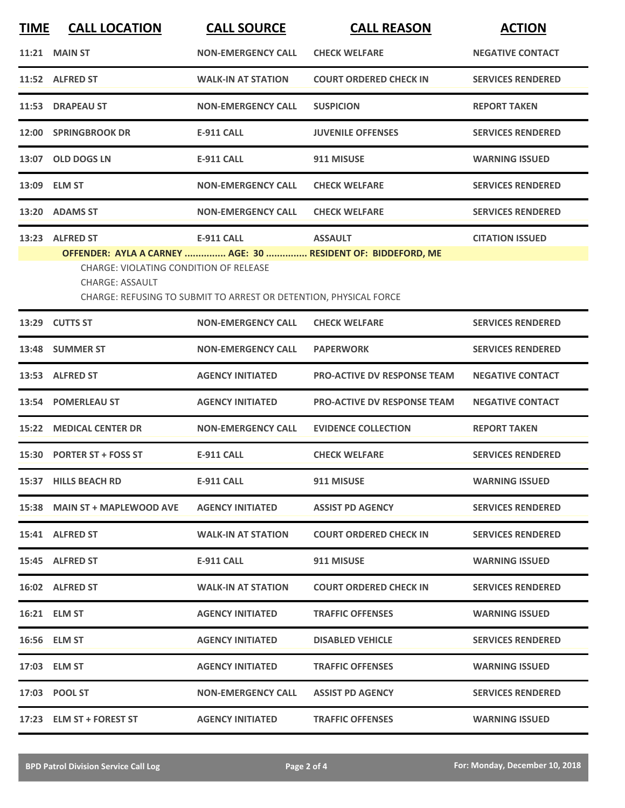| <b>TIME</b> | <b>CALL LOCATION</b>                                                                | <b>CALL SOURCE</b>                                                                     | <b>CALL REASON</b>                                                             | <b>ACTION</b>            |
|-------------|-------------------------------------------------------------------------------------|----------------------------------------------------------------------------------------|--------------------------------------------------------------------------------|--------------------------|
|             | <b>11:21 MAIN ST</b>                                                                | <b>NON-EMERGENCY CALL</b>                                                              | <b>CHECK WELFARE</b>                                                           | <b>NEGATIVE CONTACT</b>  |
|             | 11:52 ALFRED ST                                                                     | <b>WALK-IN AT STATION</b>                                                              | <b>COURT ORDERED CHECK IN</b>                                                  | <b>SERVICES RENDERED</b> |
|             | 11:53 DRAPEAU ST                                                                    | <b>NON-EMERGENCY CALL</b>                                                              | <b>SUSPICION</b>                                                               | <b>REPORT TAKEN</b>      |
|             | 12:00 SPRINGBROOK DR                                                                | <b>E-911 CALL</b>                                                                      | <b>JUVENILE OFFENSES</b>                                                       | <b>SERVICES RENDERED</b> |
|             | 13:07 OLD DOGS LN                                                                   | <b>E-911 CALL</b>                                                                      | 911 MISUSE                                                                     | <b>WARNING ISSUED</b>    |
|             | 13:09 ELM ST                                                                        | <b>NON-EMERGENCY CALL</b>                                                              | <b>CHECK WELFARE</b>                                                           | <b>SERVICES RENDERED</b> |
|             | 13:20 ADAMS ST                                                                      | <b>NON-EMERGENCY CALL</b>                                                              | <b>CHECK WELFARE</b>                                                           | <b>SERVICES RENDERED</b> |
|             | 13:23 ALFRED ST<br>CHARGE: VIOLATING CONDITION OF RELEASE<br><b>CHARGE: ASSAULT</b> | <b>E-911 CALL</b><br>CHARGE: REFUSING TO SUBMIT TO ARREST OR DETENTION, PHYSICAL FORCE | <b>ASSAULT</b><br>OFFENDER: AYLA A CARNEY  AGE: 30  RESIDENT OF: BIDDEFORD, ME | <b>CITATION ISSUED</b>   |
|             | 13:29 CUTTS ST                                                                      | <b>NON-EMERGENCY CALL</b>                                                              | <b>CHECK WELFARE</b>                                                           | <b>SERVICES RENDERED</b> |
| 13:48       | <b>SUMMER ST</b>                                                                    | <b>NON-EMERGENCY CALL</b>                                                              | <b>PAPERWORK</b>                                                               | <b>SERVICES RENDERED</b> |
|             | 13:53 ALFRED ST                                                                     | <b>AGENCY INITIATED</b>                                                                | <b>PRO-ACTIVE DV RESPONSE TEAM</b>                                             | <b>NEGATIVE CONTACT</b>  |
| 13:54       | <b>POMERLEAU ST</b>                                                                 | <b>AGENCY INITIATED</b>                                                                | <b>PRO-ACTIVE DV RESPONSE TEAM</b>                                             | <b>NEGATIVE CONTACT</b>  |
| 15:22       | <b>MEDICAL CENTER DR</b>                                                            | <b>NON-EMERGENCY CALL</b>                                                              | <b>EVIDENCE COLLECTION</b>                                                     | <b>REPORT TAKEN</b>      |
|             | 15:30 PORTER ST + FOSS ST                                                           | <b>E-911 CALL</b>                                                                      | <b>CHECK WELFARE</b>                                                           | <b>SERVICES RENDERED</b> |
|             | 15:37 HILLS BEACH RD                                                                | <b>E-911 CALL</b>                                                                      | 911 MISUSE                                                                     | <b>WARNING ISSUED</b>    |
|             | 15:38 MAIN ST + MAPLEWOOD AVE                                                       | <b>AGENCY INITIATED</b>                                                                | <b>ASSIST PD AGENCY</b>                                                        | <b>SERVICES RENDERED</b> |
|             | 15:41 ALFRED ST                                                                     | <b>WALK-IN AT STATION</b>                                                              | <b>COURT ORDERED CHECK IN</b>                                                  | <b>SERVICES RENDERED</b> |
|             | 15:45 ALFRED ST                                                                     | E-911 CALL                                                                             | 911 MISUSE                                                                     | <b>WARNING ISSUED</b>    |
|             | 16:02 ALFRED ST                                                                     | <b>WALK-IN AT STATION</b>                                                              | <b>COURT ORDERED CHECK IN</b>                                                  | <b>SERVICES RENDERED</b> |
|             | 16:21 ELM ST                                                                        | <b>AGENCY INITIATED</b>                                                                | <b>TRAFFIC OFFENSES</b>                                                        | <b>WARNING ISSUED</b>    |
|             | 16:56 ELM ST                                                                        | <b>AGENCY INITIATED</b>                                                                | <b>DISABLED VEHICLE</b>                                                        | <b>SERVICES RENDERED</b> |
|             | 17:03 ELM ST                                                                        | <b>AGENCY INITIATED</b>                                                                | <b>TRAFFIC OFFENSES</b>                                                        | <b>WARNING ISSUED</b>    |
|             | 17:03 POOL ST                                                                       | <b>NON-EMERGENCY CALL</b>                                                              | <b>ASSIST PD AGENCY</b>                                                        | <b>SERVICES RENDERED</b> |
|             | 17:23 ELM ST + FOREST ST                                                            | <b>AGENCY INITIATED</b>                                                                | <b>TRAFFIC OFFENSES</b>                                                        | <b>WARNING ISSUED</b>    |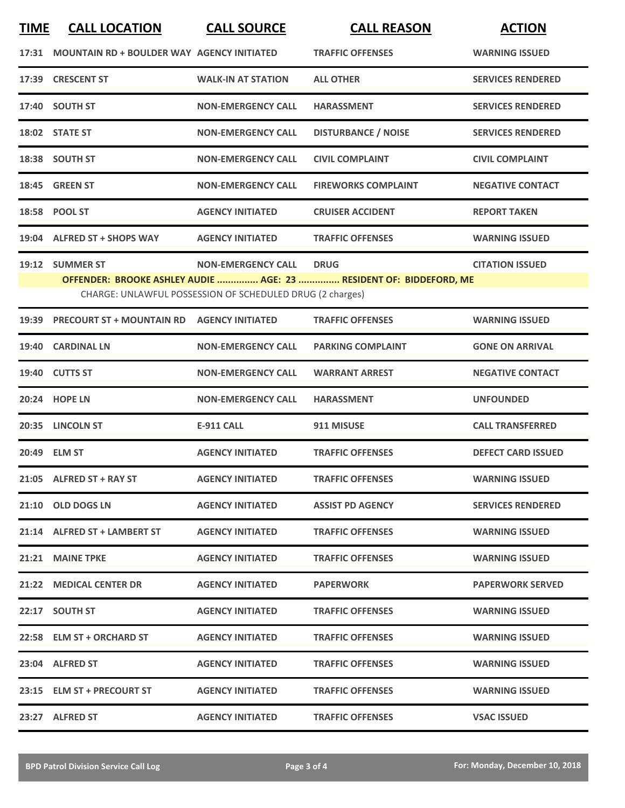| <b>TIME</b> | <b>CALL LOCATION</b>                              | <b>CALL SOURCE</b>                                        | <b>CALL REASON</b>                                                 | <b>ACTION</b>             |
|-------------|---------------------------------------------------|-----------------------------------------------------------|--------------------------------------------------------------------|---------------------------|
| 17:31       | <b>MOUNTAIN RD + BOULDER WAY AGENCY INITIATED</b> |                                                           | <b>TRAFFIC OFFENSES</b>                                            | <b>WARNING ISSUED</b>     |
|             | 17:39 CRESCENT ST                                 | <b>WALK-IN AT STATION</b>                                 | <b>ALL OTHER</b>                                                   | <b>SERVICES RENDERED</b>  |
|             | 17:40 SOUTH ST                                    | <b>NON-EMERGENCY CALL</b>                                 | <b>HARASSMENT</b>                                                  | <b>SERVICES RENDERED</b>  |
|             | 18:02 STATE ST                                    | <b>NON-EMERGENCY CALL</b>                                 | <b>DISTURBANCE / NOISE</b>                                         | <b>SERVICES RENDERED</b>  |
|             | 18:38 SOUTH ST                                    | <b>NON-EMERGENCY CALL</b>                                 | <b>CIVIL COMPLAINT</b>                                             | <b>CIVIL COMPLAINT</b>    |
|             | 18:45 GREEN ST                                    | <b>NON-EMERGENCY CALL</b>                                 | <b>FIREWORKS COMPLAINT</b>                                         | <b>NEGATIVE CONTACT</b>   |
|             | 18:58 POOL ST                                     | <b>AGENCY INITIATED</b>                                   | <b>CRUISER ACCIDENT</b>                                            | <b>REPORT TAKEN</b>       |
| 19:04       | <b>ALFRED ST + SHOPS WAY</b>                      | <b>AGENCY INITIATED</b>                                   | <b>TRAFFIC OFFENSES</b>                                            | <b>WARNING ISSUED</b>     |
|             | 19:12 SUMMER ST                                   | <b>NON-EMERGENCY CALL</b>                                 | <b>DRUG</b>                                                        | <b>CITATION ISSUED</b>    |
|             |                                                   |                                                           | OFFENDER: BROOKE ASHLEY AUDIE  AGE: 23  RESIDENT OF: BIDDEFORD, ME |                           |
|             |                                                   | CHARGE: UNLAWFUL POSSESSION OF SCHEDULED DRUG (2 charges) |                                                                    |                           |
| 19:39       | <b>PRECOURT ST + MOUNTAIN RD</b>                  | <b>AGENCY INITIATED</b>                                   | <b>TRAFFIC OFFENSES</b>                                            | <b>WARNING ISSUED</b>     |
| 19:40       | <b>CARDINAL LN</b>                                | <b>NON-EMERGENCY CALL</b>                                 | <b>PARKING COMPLAINT</b>                                           | <b>GONE ON ARRIVAL</b>    |
| 19:40       | <b>CUTTS ST</b>                                   | <b>NON-EMERGENCY CALL</b>                                 | <b>WARRANT ARREST</b>                                              | <b>NEGATIVE CONTACT</b>   |
|             | 20:24 HOPE LN                                     | <b>NON-EMERGENCY CALL</b>                                 | <b>HARASSMENT</b>                                                  | <b>UNFOUNDED</b>          |
| 20:35       | <b>LINCOLN ST</b>                                 | <b>E-911 CALL</b>                                         | 911 MISUSE                                                         | <b>CALL TRANSFERRED</b>   |
|             | 20:49 ELM ST                                      | <b>AGENCY INITIATED</b>                                   | <b>TRAFFIC OFFENSES</b>                                            | <b>DEFECT CARD ISSUED</b> |
|             | 21:05 ALFRED ST + RAY ST                          | <b>AGENCY INITIATED</b>                                   | <b>TRAFFIC OFFENSES</b>                                            | <b>WARNING ISSUED</b>     |
|             | 21:10 OLD DOGS LN                                 | <b>AGENCY INITIATED</b>                                   | <b>ASSIST PD AGENCY</b>                                            | <b>SERVICES RENDERED</b>  |
|             | 21:14 ALFRED ST + LAMBERT ST                      | <b>AGENCY INITIATED</b>                                   | <b>TRAFFIC OFFENSES</b>                                            | <b>WARNING ISSUED</b>     |
|             | 21:21 MAINE TPKE                                  | <b>AGENCY INITIATED</b>                                   | <b>TRAFFIC OFFENSES</b>                                            | <b>WARNING ISSUED</b>     |
|             | 21:22 MEDICAL CENTER DR                           | <b>AGENCY INITIATED</b>                                   | <b>PAPERWORK</b>                                                   | <b>PAPERWORK SERVED</b>   |
|             | 22:17 SOUTH ST                                    | <b>AGENCY INITIATED</b>                                   | <b>TRAFFIC OFFENSES</b>                                            | <b>WARNING ISSUED</b>     |
|             | 22:58 ELM ST + ORCHARD ST                         | <b>AGENCY INITIATED</b>                                   | <b>TRAFFIC OFFENSES</b>                                            | <b>WARNING ISSUED</b>     |
|             | 23:04 ALFRED ST                                   | <b>AGENCY INITIATED</b>                                   | <b>TRAFFIC OFFENSES</b>                                            | <b>WARNING ISSUED</b>     |
|             | 23:15 ELM ST + PRECOURT ST                        | <b>AGENCY INITIATED</b>                                   | <b>TRAFFIC OFFENSES</b>                                            | <b>WARNING ISSUED</b>     |
|             | 23:27 ALFRED ST                                   | <b>AGENCY INITIATED</b>                                   | <b>TRAFFIC OFFENSES</b>                                            | <b>VSAC ISSUED</b>        |